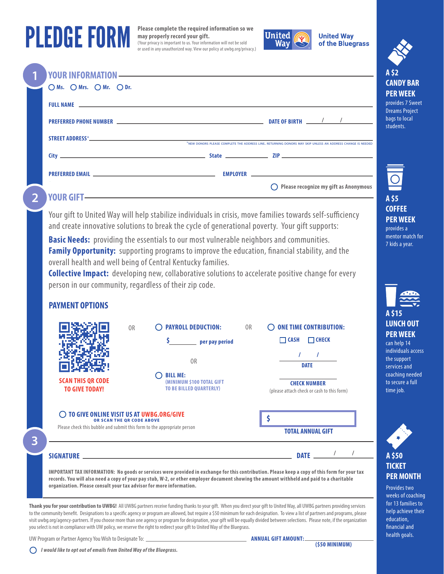## **PLEDGE FORM**

Please complete the required information so we may properly record your gift. (Your privacy is important to us. Your information will not be sold or used in any unauthorized way. View our policy at uwbg.org/privacy.)



**United Way** of the Bluegrass

|       | $\Box$ $\Box$ Ms. $\Box$ Mrs. $\Box$ Mr. $\Box$ Dr.                                                                                                                                                                                                                                                                                    | A \$2<br><b>CANDY BAI</b><br><b>PER WEEK</b>             |
|-------|----------------------------------------------------------------------------------------------------------------------------------------------------------------------------------------------------------------------------------------------------------------------------------------------------------------------------------------|----------------------------------------------------------|
|       |                                                                                                                                                                                                                                                                                                                                        | provides 7 Swe<br><b>Dreams Project</b><br>bags to local |
|       |                                                                                                                                                                                                                                                                                                                                        | students.                                                |
|       | *NEW DONORS PLEASE COMPLETE THE ADDRESS LINE, RETURNING DONORS MAY SKIP UNLESS AN ADDRESS CHANGE IS NEEDED                                                                                                                                                                                                                             |                                                          |
|       |                                                                                                                                                                                                                                                                                                                                        | 回                                                        |
| $2 -$ | $\bigcirc$ Please recognize my gift as Anonymous<br>VOUR GIFT ——————————————————————————————<br>$\mathcal{N}$ and $\mathcal{N}$ are the set of the set of the set of the set of the set of the set of the set of the set of the set of the set of the set of the set of the set of the set of the set of the set of the set of the set | A\$5<br><b>COFFEE</b>                                    |

Your gift to United Way will help stabilize individuals in crisis, move families towards self-sufficiency and create innovative solutions to break the cycle of generational poverty. Your gift supports:

**Basic Needs:** providing the essentials to our most vulnerable neighbors and communities. **Family Opportunity:** supporting programs to improve the education, financial stability, and the overall health and well being of Central Kentucky families.

**Collective Impact:** developing new, collaborative solutions to accelerate positive change for every person in our community, regardless of their zip code.

## **PAYMENT OPTIONS**

|   | <b>SCAN THIS QR CODE</b><br><b>TO GIVE TODAY!</b>                                                                                                                                                                                                                                                                                                                                               | <b>PAYROLL DEDUCTION:</b><br>0 <sub>R</sub><br><b>ONE TIME CONTRIBUTION:</b><br>0 <sub>R</sub><br>$\Box$ CHECK<br>$\Box$ CASH<br>per pay period<br>0 <sub>R</sub><br><b>DATE</b><br><b>BILL ME:</b><br>(MINIMUM \$100 TOTAL GIFT<br><b>CHECK NUMBER</b><br><b>TO BE BILLED QUARTERLY)</b><br>(please attach check or cash to this form)                                                                                                                                                                                                                                                                                                                                                      |  |  |  |  |
|---|-------------------------------------------------------------------------------------------------------------------------------------------------------------------------------------------------------------------------------------------------------------------------------------------------------------------------------------------------------------------------------------------------|----------------------------------------------------------------------------------------------------------------------------------------------------------------------------------------------------------------------------------------------------------------------------------------------------------------------------------------------------------------------------------------------------------------------------------------------------------------------------------------------------------------------------------------------------------------------------------------------------------------------------------------------------------------------------------------------|--|--|--|--|
| 3 |                                                                                                                                                                                                                                                                                                                                                                                                 | TO GIVE ONLINE VISIT US AT UWBG.ORG/GIVE<br>OR SCAN THE QR CODE ABOVE<br>Please check this bubble and submit this form to the appropriate person<br><b>TOTAL ANNUAL GIFT</b>                                                                                                                                                                                                                                                                                                                                                                                                                                                                                                                 |  |  |  |  |
|   | <b>DATE</b><br>SIGNATURE _<br>IMPORTANT TAX INFORMATION: No goods or services were provided in exchange for this contribution. Please keep a copy of this form for your tax<br>records. You will also need a copy of your pay stub, W-2, or other employer document showing the amount withheld and paid to a charitable<br>organization. Please consult your tax advisor for more information. |                                                                                                                                                                                                                                                                                                                                                                                                                                                                                                                                                                                                                                                                                              |  |  |  |  |
|   |                                                                                                                                                                                                                                                                                                                                                                                                 | Thank you for your contribution to UWBG! All UWBG partners receive funding thanks to your gift. When you direct your gift to United Way, all UWBG partners providing services<br>to the community benefit. Designations to a specific agency or program are allowed, but require a \$50 minimum for each designation. To view a list of partners and programs, please<br>visit uwbq.org/agency-partners. If you choose more than one agency or program for designation, your gift will be equally divided between selections. Please note, if the organization<br>you select is not in compliance with UW policy, we reserve the right to redirect your gift to United Way of the Bluegrass. |  |  |  |  |

UW Program or Partner Agency You Wish to Designate To: \_

| ANNUAL GIFT AMOUNT: |  |  |  |
|---------------------|--|--|--|
|---------------------|--|--|--|



A \$15

**PER WEEK** 

7 kids a year.

provides a mentor match for

**BAR** 

**Sweet** roject cal

can help 14 individuals access the support services and coaching needed to secure a full time job.

| A \$50           |
|------------------|
| TICKET           |
| <b>PER MONTH</b> |

**Provides two** weeks of coaching for 13 families to help achieve their education, financial and health goals.

 $\bigcirc$  I would like to opt out of emails from United Way of the Bluegrass.

 $(550$  MINIMUM)